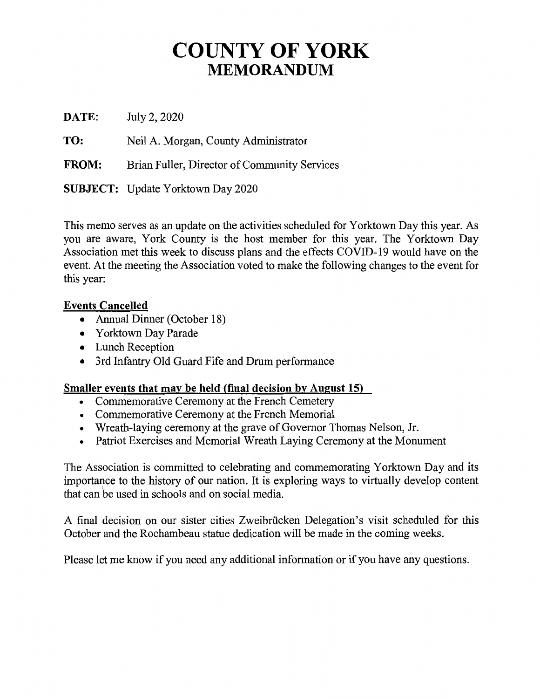## **COUNTY OF YORK MEMORANDUM**

**DATE:**  July 2, 2020

**TO:**  Neil A. Morgan, County Administrator

**FROM:**  Brian Fuller, Director of Community Services

**SUBJECT:** Update Yorktown Day 2020

This memo serves as an update on the activities scheduled for Yorktown Day this year. As you are aware, York County is the host member for this year. The Yorktown Day Association met this week to discuss plans and the effects COVID-19 would have on the event. At the meeting the Association voted to make the following changes to the event for this year:

#### **Events Cancelled**

- Annual Dinner (October 18)
- Yorktown Day Parade
- Lunch Reception
- 3rd Infantry Old Guard Fife and Drum performance

#### **Smaller events that may be held (final decision by August 15)**

- Commemorative Ceremony at the French Cemetery
- Commemorative Ceremony at the French Memorial
- Wreath-laying ceremony at the grave of Governor Thomas Nelson, Jr.
- Patriot Exercises and Memorial Wreath Laying Ceremony at the Monument

The Association is committed to celebrating and commemorating Yorktown Day and its importance to the history of our nation. It is exploring ways to virtually develop content that can be used in schools and on social media.

A final decision on our sister cities Zweibriicken Delegation's visit scheduled for this October and the Rochambeau statue dedication will be made in the coming weeks.

Please let me know if you need any additional information or if you have any questions.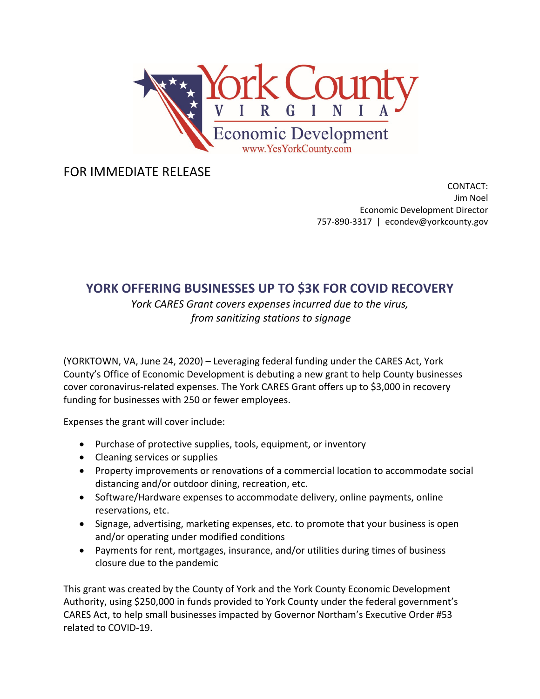

FOR IMMEDIATE RELEASE

CONTACT: Jim Noel Economic Development Director 757‐890‐3317 | econdev@yorkcounty.gov

#### **YORK OFFERING BUSINESSES UP TO \$3K FOR COVID RECOVERY**

*York CARES Grant covers expenses incurred due to the virus, from sanitizing stations to signage*

(YORKTOWN, VA, June 24, 2020) – Leveraging federal funding under the CARES Act, York County's Office of Economic Development is debuting a new grant to help County businesses cover coronavirus‐related expenses. The York CARES Grant offers up to \$3,000 in recovery funding for businesses with 250 or fewer employees.

Expenses the grant will cover include:

- Purchase of protective supplies, tools, equipment, or inventory
- Cleaning services or supplies
- Property improvements or renovations of a commercial location to accommodate social distancing and/or outdoor dining, recreation, etc.
- Software/Hardware expenses to accommodate delivery, online payments, online reservations, etc.
- Signage, advertising, marketing expenses, etc. to promote that your business is open and/or operating under modified conditions
- Payments for rent, mortgages, insurance, and/or utilities during times of business closure due to the pandemic

This grant was created by the County of York and the York County Economic Development Authority, using \$250,000 in funds provided to York County under the federal government's CARES Act, to help small businesses impacted by Governor Northam's Executive Order #53 related to COVID‐19.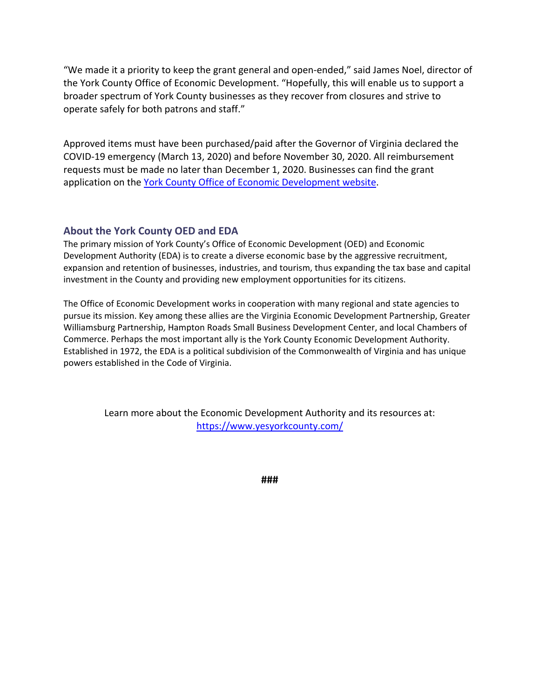"We made it a priority to keep the grant general and open‐ended," said James Noel, director of the York County Office of Economic Development. "Hopefully, this will enable us to support a broader spectrum of York County businesses as they recover from closures and strive to operate safely for both patrons and staff."

Approved items must have been purchased/paid after the Governor of Virginia declared the COVID‐19 emergency (March 13, 2020) and before November 30, 2020. All reimbursement requests must be made no later than December 1, 2020. Businesses can find the grant application on the York County Office of Economic Development website.

#### **About the York County OED and EDA**

The primary mission of York County's Office of Economic Development (OED) and Economic Development Authority (EDA) is to create a diverse economic base by the aggressive recruitment, expansion and retention of businesses, industries, and tourism, thus expanding the tax base and capital investment in the County and providing new employment opportunities for its citizens.

The Office of Economic Development works in cooperation with many regional and state agencies to pursue its mission. Key among these allies are the Virginia Economic Development Partnership, Greater Williamsburg Partnership, Hampton Roads Small Business Development Center, and local Chambers of Commerce. Perhaps the most important ally is the York County Economic Development Authority. Established in 1972, the EDA is a political subdivision of the Commonwealth of Virginia and has unique powers established in the Code of Virginia.

Learn more about the Economic Development Authority and its resources at: https://www.yesyorkcounty.com/

**###**